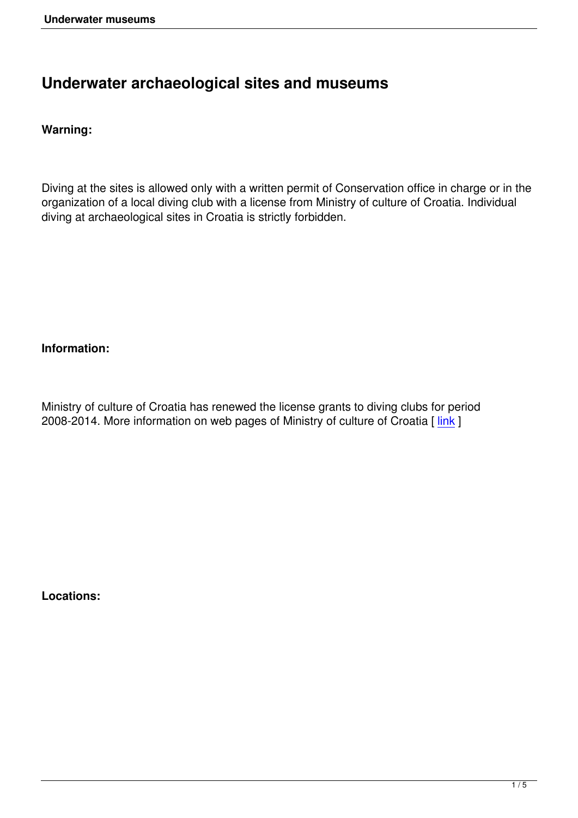# **Underwater archaeological sites and museums**

# **Warning:**

Diving at the sites is allowed only with a written permit of Conservation office in charge or in the organization of a local diving club with a license from Ministry of culture of Croatia. Individual diving at archaeological sites in Croatia is strictly forbidden.

## **Information:**

Ministry of culture of Croatia has renewed the license grants to diving clubs for period 2008-2014. More information on web pages of Ministry of culture of Croatia [link]

**Locations:**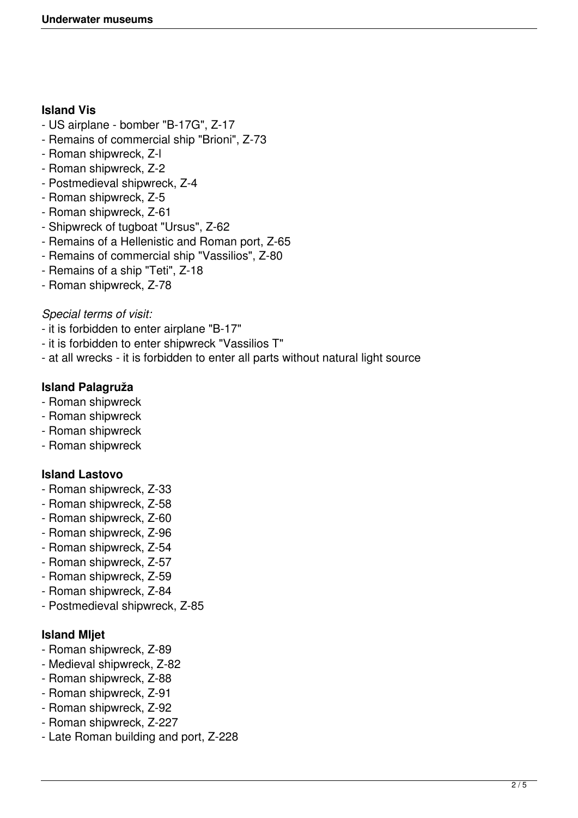## **Island Vis**

- US airplane bomber "B-17G", Z-17
- Remains of commercial ship "Brioni", Z-73
- Roman shipwreck, Z-l
- Roman shipwreck, Z-2
- Postmedieval shipwreck, Z-4
- Roman shipwreck, Z-5
- Roman shipwreck, Z-61
- Shipwreck of tugboat "Ursus", Z-62
- Remains of a Hellenistic and Roman port, Z-65
- Remains of commercial ship "Vassilios", Z-80
- Remains of a ship "Teti", Z-18
- Roman shipwreck, Z-78

## *Special terms of visit:*

- it is forbidden to enter airplane "B-17"
- it is forbidden to enter shipwreck "Vassilios T"
- at all wrecks it is forbidden to enter all parts without natural light source

# **Island Palagruža**

- Roman shipwreck
- Roman shipwreck
- Roman shipwreck
- Roman shipwreck

# **Island Lastovo**

- Roman shipwreck, Z-33
- Roman shipwreck, Z-58
- Roman shipwreck, Z-60
- Roman shipwreck, Z-96
- Roman shipwreck, Z-54
- Roman shipwreck, Z-57
- Roman shipwreck, Z-59
- Roman shipwreck, Z-84
- Postmedieval shipwreck, Z-85

# **Island Mljet**

- Roman shipwreck, Z-89
- Medieval shipwreck, Z-82
- Roman shipwreck, Z-88
- Roman shipwreck, Z-91
- Roman shipwreck, Z-92
- Roman shipwreck, Z-227
- Late Roman building and port, Z-228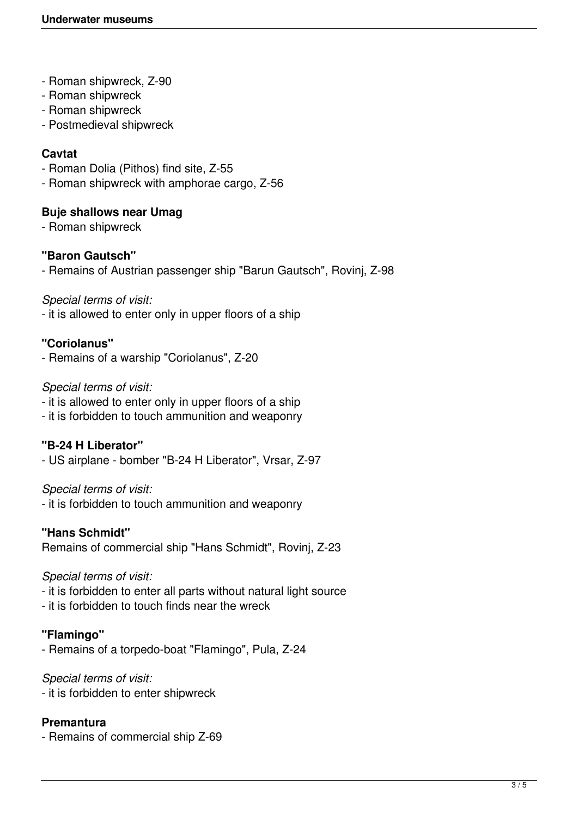- Roman shipwreck, Z-90
- Roman shipwreck
- Roman shipwreck
- Postmedieval shipwreck

## **Cavtat**

- Roman Dolia (Pithos) find site, Z-55
- Roman shipwreck with amphorae cargo, Z-56

#### **Buje shallows near Umag**

- Roman shipwreck

#### **"Baron Gautsch"**

- Remains of Austrian passenger ship "Barun Gautsch", Rovinj, Z-98

#### *Special terms of visit:*

- it is allowed to enter only in upper floors of a ship

## **"Coriolanus"**

- Remains of a warship "Coriolanus", Z-20

#### *Special terms of visit:*

- it is allowed to enter only in upper floors of a ship
- it is forbidden to touch ammunition and weaponry

## **"B-24 H Liberator"**

- US airplane - bomber "B-24 H Liberator", Vrsar, Z-97

#### *Special terms of visit:*

- it is forbidden to touch ammunition and weaponry

#### **"Hans Schmidt"**

Remains of commercial ship "Hans Schmidt", Rovinj, Z-23

#### *Special terms of visit:*

- it is forbidden to enter all parts without natural light source
- it is forbidden to touch finds near the wreck

## **"Flamingo"**

- Remains of a torpedo-boat "Flamingo", Pula, Z-24

#### *Special terms of visit:*

- it is forbidden to enter shipwreck

## **Premantura**

- Remains of commercial ship Z-69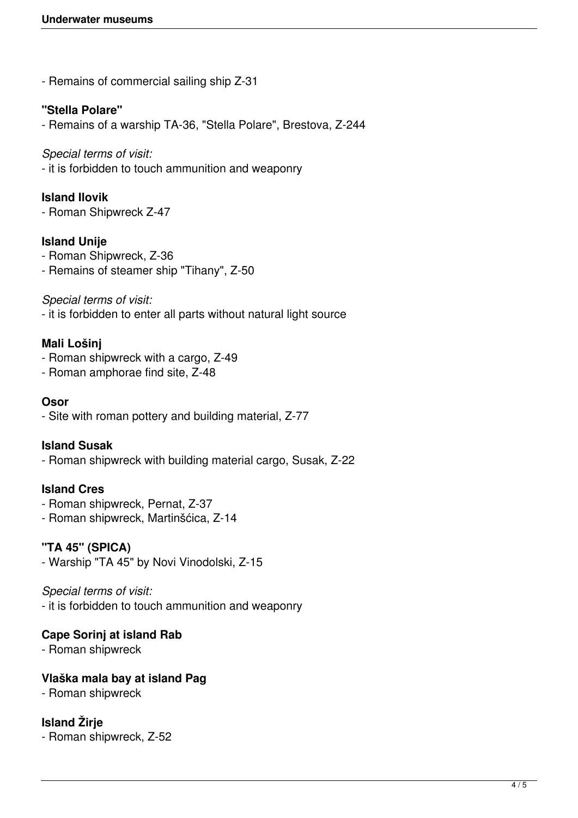- Remains of commercial sailing ship Z-31

## **"Stella Polare"**

- Remains of a warship TA-36, "Stella Polare", Brestova, Z-244

#### *Special terms of visit:*

- it is forbidden to touch ammunition and weaponry

## **Island Ilovik**

- Roman Shipwreck Z-47

## **Island Unije**

- Roman Shipwreck, Z-36
- Remains of steamer ship "Tihany", Z-50

## *Special terms of visit:*

- it is forbidden to enter all parts without natural light source

## **Mali Lošinj**

- Roman shipwreck with a cargo, Z-49
- Roman amphorae find site, Z-48

#### **Osor**

- Site with roman pottery and building material, Z-77

## **Island Susak**

- Roman shipwreck with building material cargo, Susak, Z-22

## **Island Cres**

- Roman shipwreck, Pernat, Z-37
- Roman shipwreck, Martinšćica, Z-14

## **"TA 45" (SPICA)**

- Warship "TA 45" by Novi Vinodolski, Z-15

## *Special terms of visit:*

- it is forbidden to touch ammunition and weaponry

## **Cape Sorinj at island Rab**

- Roman shipwreck

## **Vlaška mala bay at island Pag**

- Roman shipwreck

# **Island Žirje**

- Roman shipwreck, Z-52